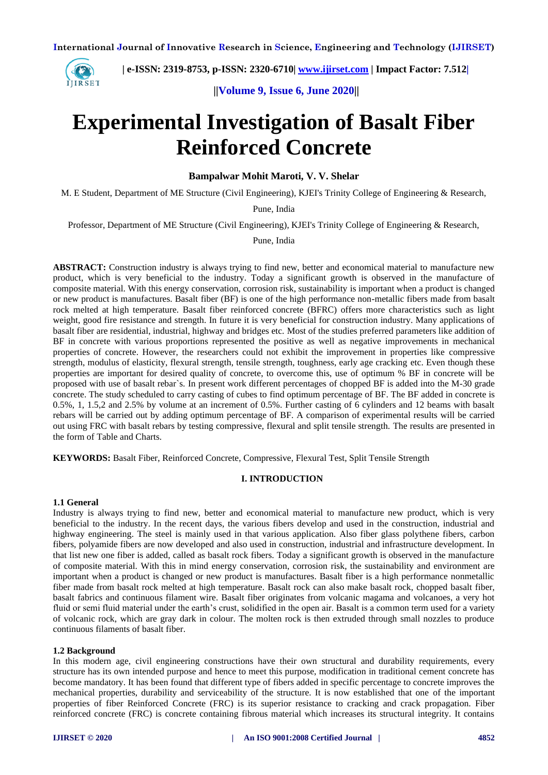

 **| e-ISSN: 2319-8753, p-ISSN: 2320-6710| [www.ijirset.com](http://www.ijirset.com/) | Impact Factor: 7.512|**

 **||Volume 9, Issue 6, June 2020||** 

# **Experimental Investigation of Basalt Fiber Reinforced Concrete**

**Bampalwar Mohit Maroti, V. V. Shelar** 

M. E Student, Department of ME Structure (Civil Engineering), KJEI's Trinity College of Engineering & Research,

Pune, India

Professor, Department of ME Structure (Civil Engineering), KJEI's Trinity College of Engineering & Research,

Pune, India

**ABSTRACT:** Construction industry is always trying to find new, better and economical material to manufacture new product, which is very beneficial to the industry. Today a significant growth is observed in the manufacture of composite material. With this energy conservation, corrosion risk, sustainability is important when a product is changed or new product is manufactures. Basalt fiber (BF) is one of the high performance non-metallic fibers made from basalt rock melted at high temperature. Basalt fiber reinforced concrete (BFRC) offers more characteristics such as light weight, good fire resistance and strength. In future it is very beneficial for construction industry. Many applications of basalt fiber are residential, industrial, highway and bridges etc. Most of the studies preferred parameters like addition of BF in concrete with various proportions represented the positive as well as negative improvements in mechanical properties of concrete. However, the researchers could not exhibit the improvement in properties like compressive strength, modulus of elasticity, flexural strength, tensile strength, toughness, early age cracking etc. Even though these properties are important for desired quality of concrete, to overcome this, use of optimum % BF in concrete will be proposed with use of basalt rebar`s. In present work different percentages of chopped BF is added into the M-30 grade concrete. The study scheduled to carry casting of cubes to find optimum percentage of BF. The BF added in concrete is 0.5%, 1, 1.5,2 and 2.5% by volume at an increment of 0.5%. Further casting of 6 cylinders and 12 beams with basalt rebars will be carried out by adding optimum percentage of BF. A comparison of experimental results will be carried out using FRC with basalt rebars by testing compressive, flexural and split tensile strength. The results are presented in the form of Table and Charts.

**KEYWORDS:** Basalt Fiber, Reinforced Concrete, Compressive, Flexural Test, Split Tensile Strength

#### **I. INTRODUCTION**

## **1.1 General**

Industry is always trying to find new, better and economical material to manufacture new product, which is very beneficial to the industry. In the recent days, the various fibers develop and used in the construction, industrial and highway engineering. The steel is mainly used in that various application. Also fiber glass polythene fibers, carbon fibers, polyamide fibers are now developed and also used in construction, industrial and infrastructure development. In that list new one fiber is added, called as basalt rock fibers. Today a significant growth is observed in the manufacture of composite material. With this in mind energy conservation, corrosion risk, the sustainability and environment are important when a product is changed or new product is manufactures. Basalt fiber is a high performance nonmetallic fiber made from basalt rock melted at high temperature. Basalt rock can also make basalt rock, chopped basalt fiber, basalt fabrics and continuous filament wire. Basalt fiber originates from volcanic magama and volcanoes, a very hot fluid or semi fluid material under the earth's crust, solidified in the open air. Basalt is a common term used for a variety of volcanic rock, which are gray dark in colour. The molten rock is then extruded through small nozzles to produce continuous filaments of basalt fiber.

#### **1.2 Background**

In this modern age, civil engineering constructions have their own structural and durability requirements, every structure has its own intended purpose and hence to meet this purpose, modification in traditional cement concrete has become mandatory. It has been found that different type of fibers added in specific percentage to concrete improves the mechanical properties, durability and serviceability of the structure. It is now established that one of the important properties of fiber Reinforced Concrete (FRC) is its superior resistance to cracking and crack propagation. Fiber reinforced concrete (FRC) is concrete containing fibrous material which increases its structural integrity. It contains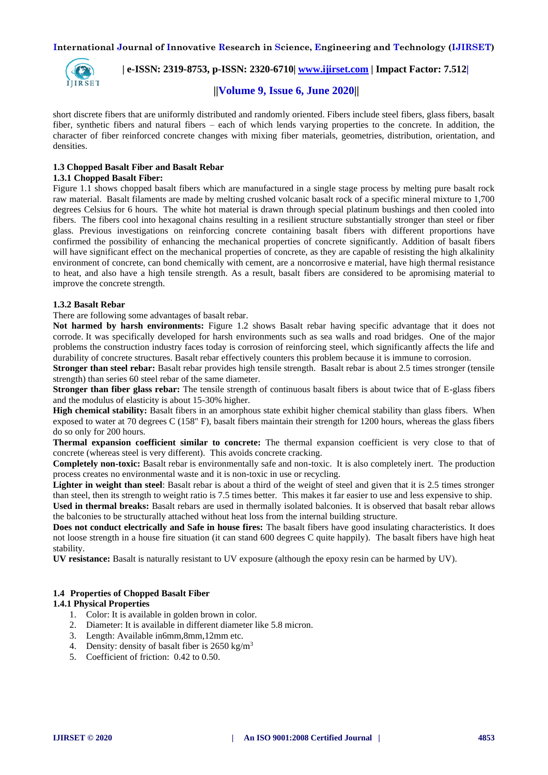

 **| e-ISSN: 2319-8753, p-ISSN: 2320-6710| [www.ijirset.com](http://www.ijirset.com/) | Impact Factor: 7.512|**

# **||Volume 9, Issue 6, June 2020||**

short discrete fibers that are uniformly distributed and randomly oriented. Fibers include steel fibers, glass fibers, basalt fiber, synthetic fibers and natural fibers – each of which lends varying properties to the concrete. In addition, the character of fiber reinforced concrete changes with mixing fiber materials, geometries, distribution, orientation, and densities.

# **1.3 Chopped Basalt Fiber and Basalt Rebar**

## **1.3.1 Chopped Basalt Fiber:**

Figure 1.1 shows chopped basalt fibers which are manufactured in a single stage process by melting pure basalt rock raw material. Basalt filaments are made by melting crushed volcanic basalt rock of a specific mineral mixture to 1,700 degrees Celsius for 6 hours. The white hot material is drawn through special platinum bushings and then cooled into fibers. The fibers cool into hexagonal chains resulting in a resilient structure substantially stronger than steel or fiber glass. Previous investigations on reinforcing concrete containing basalt fibers with different proportions have confirmed the possibility of enhancing the mechanical properties of concrete significantly. Addition of basalt fibers will have significant effect on the mechanical properties of concrete, as they are capable of resisting the high alkalinity environment of concrete, can bond chemically with cement, are a noncorrosive e material, have high thermal resistance to heat, and also have a high tensile strength. As a result, basalt fibers are considered to be apromising material to improve the concrete strength.

## **1.3.2 Basalt Rebar**

There are following some advantages of basalt rebar.

**Not harmed by harsh environments:** Figure 1.2 shows Basalt rebar having specific advantage that it does not corrode. It was specifically developed for harsh environments such as sea walls and road bridges. One of the major problems the construction industry faces today is corrosion of reinforcing steel, which significantly affects the life and durability of concrete structures. Basalt rebar effectively counters this problem because it is immune to corrosion.

**Stronger than steel rebar:** Basalt rebar provides high tensile strength. Basalt rebar is about 2.5 times stronger (tensile strength) than series 60 steel rebar of the same diameter.

**Stronger than fiber glass rebar:** The tensile strength of continuous basalt fibers is about twice that of E-glass fibers and the modulus of elasticity is about 15-30% higher.

**High chemical stability:** Basalt fibers in an amorphous state exhibit higher chemical stability than glass fibers. When exposed to water at 70 degrees C (158" F), basalt fibers maintain their strength for 1200 hours, whereas the glass fibers do so only for 200 hours.

**Thermal expansion coefficient similar to concrete:** The thermal expansion coefficient is very close to that of concrete (whereas steel is very different). This avoids concrete cracking.

**Completely non-toxic:** Basalt rebar is environmentally safe and non-toxic. It is also completely inert. The production process creates no environmental waste and it is non-toxic in use or recycling.

**Lighter in weight than steel**: Basalt rebar is about a third of the weight of steel and given that it is 2.5 times stronger than steel, then its strength to weight ratio is 7.5 times better. This makes it far easier to use and less expensive to ship.

**Used in thermal breaks:** Basalt rebars are used in thermally isolated balconies. It is observed that basalt rebar allows the balconies to be structurally attached without heat loss from the internal building structure.

**Does not conduct electrically and Safe in house fires:** The basalt fibers have good insulating characteristics. It does not loose strength in a house fire situation (it can stand 600 degrees C quite happily). The basalt fibers have high heat stability.

**UV resistance:** Basalt is naturally resistant to UV exposure (although the epoxy resin can be harmed by UV).

## **1.4 Properties of Chopped Basalt Fiber**

## **1.4.1 Physical Properties**

- 1. Color: It is available in golden brown in color.
- 2. Diameter: It is available in different diameter like 5.8 micron.
- 3. Length: Available in6mm,8mm,12mm etc.
- 4. Density: density of basalt fiber is 2650 kg/m<sup>3</sup>
- 5. Coefficient of friction: 0.42 to 0.50.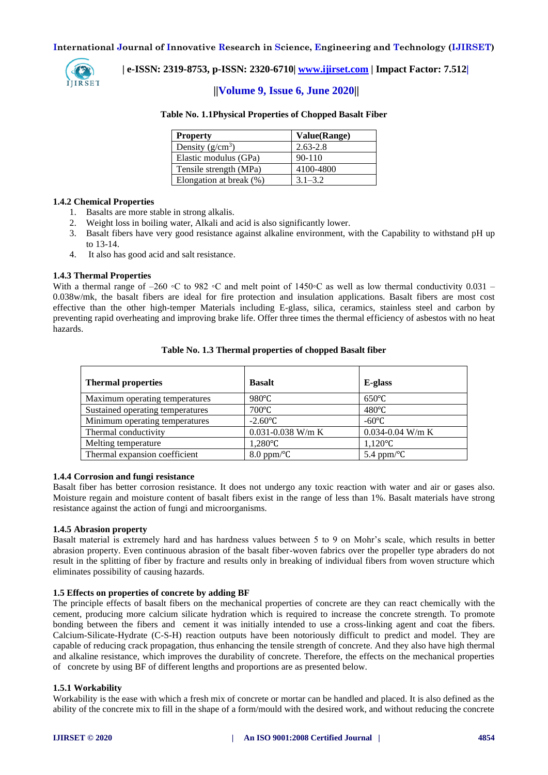

 **| e-ISSN: 2319-8753, p-ISSN: 2320-6710| [www.ijirset.com](http://www.ijirset.com/) | Impact Factor: 7.512|**

# **||Volume 9, Issue 6, June 2020||**

#### **Table No. 1.1Physical Properties of Chopped Basalt Fiber**

| <b>Property</b>         | Value(Range) |
|-------------------------|--------------|
| Density $(g/cm^3)$      | $2.63 - 2.8$ |
| Elastic modulus (GPa)   | $90 - 110$   |
| Tensile strength (MPa)  | 4100-4800    |
| Elongation at break (%) | $3.1 - 3.2$  |

#### **1.4.2 Chemical Properties**

- 1. Basalts are more stable in strong alkalis.
- 2. Weight loss in boiling water, Alkali and acid is also significantly lower.
- 3. Basalt fibers have very good resistance against alkaline environment, with the Capability to withstand pH up to 13-14.
- 4. It also has good acid and salt resistance.

#### **1.4.3 Thermal Properties**

With a thermal range of –260 ∘C to 982 ∘C and melt point of 1450∘C as well as low thermal conductivity 0.031 – 0.038w/mk, the basalt fibers are ideal for fire protection and insulation applications. Basalt fibers are most cost effective than the other high-temper Materials including E-glass, silica, ceramics, stainless steel and carbon by preventing rapid overheating and improving brake life. Offer three times the thermal efficiency of asbestos with no heat hazards.

| <b>Thermal properties</b>        | <b>Basalt</b>          | E-glass               |
|----------------------------------|------------------------|-----------------------|
| Maximum operating temperatures   | $980^{\circ}$ C        | $650^{\circ}$ C       |
| Sustained operating temperatures | $700^{\circ}$ C        | $480^{\circ}$ C       |
| Minimum operating temperatures   | $-2.60^{\circ}C$       | $-60^{\circ}$ C       |
| Thermal conductivity             | 0.031-0.038 W/m K      | $0.034 - 0.04$ W/m K  |
| Melting temperature              | $1,280^{\circ}$ C      | $1,120^{\circ}C$      |
| Thermal expansion coefficient    | $8.0$ ppm/ $\rm ^{o}C$ | 5.4 ppm/ $\mathrm{C}$ |

#### **Table No. 1.3 Thermal properties of chopped Basalt fiber**

#### **1.4.4 Corrosion and fungi resistance**

Basalt fiber has better corrosion resistance. It does not undergo any toxic reaction with water and air or gases also. Moisture regain and moisture content of basalt fibers exist in the range of less than 1%. Basalt materials have strong resistance against the action of fungi and microorganisms.

## **1.4.5 Abrasion property**

Basalt material is extremely hard and has hardness values between 5 to 9 on Mohr's scale, which results in better abrasion property. Even continuous abrasion of the basalt fiber-woven fabrics over the propeller type abraders do not result in the splitting of fiber by fracture and results only in breaking of individual fibers from woven structure which eliminates possibility of causing hazards.

#### **1.5 Effects on properties of concrete by adding BF**

The principle effects of basalt fibers on the mechanical properties of concrete are they can react chemically with the cement, producing more calcium silicate hydration which is required to increase the concrete strength. To promote bonding between the fibers and cement it was initially intended to use a cross-linking agent and coat the fibers. Calcium-Silicate-Hydrate (C-S-H) reaction outputs have been notoriously difficult to predict and model. They are capable of reducing crack propagation, thus enhancing the tensile strength of concrete. And they also have high thermal and alkaline resistance, which improves the durability of concrete. Therefore, the effects on the mechanical properties of concrete by using BF of different lengths and proportions are as presented below.

## **1.5.1 Workability**

Workability is the ease with which a fresh mix of concrete or mortar can be handled and placed. It is also defined as the ability of the concrete mix to fill in the shape of a form/mould with the desired work, and without reducing the concrete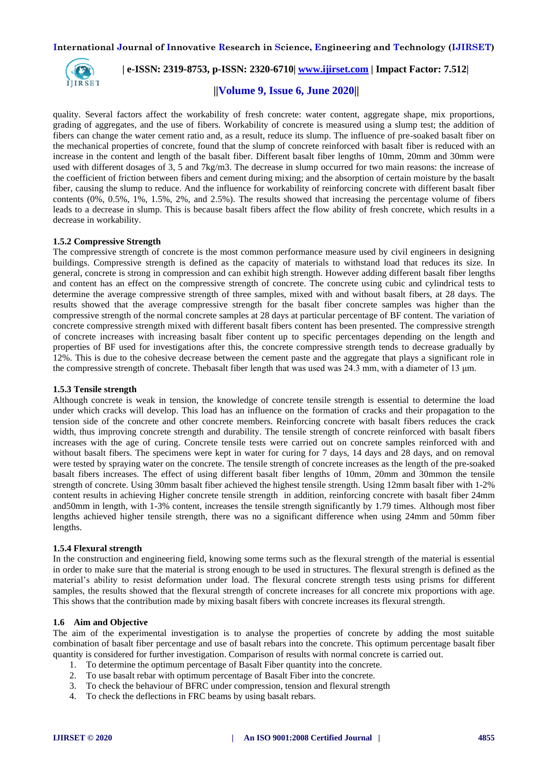

 **| e-ISSN: 2319-8753, p-ISSN: 2320-6710| [www.ijirset.com](http://www.ijirset.com/) | Impact Factor: 7.512|**

## **||Volume 9, Issue 6, June 2020||**

quality. Several factors affect the workability of fresh concrete: water content, aggregate shape, mix proportions, grading of aggregates, and the use of fibers. Workability of concrete is measured using a slump test; the addition of fibers can change the water cement ratio and, as a result, reduce its slump. The influence of pre-soaked basalt fiber on the mechanical properties of concrete, found that the slump of concrete reinforced with basalt fiber is reduced with an increase in the content and length of the basalt fiber. Different basalt fiber lengths of 10mm, 20mm and 30mm were used with different dosages of 3, 5 and 7kg/m3. The decrease in slump occurred for two main reasons: the increase of the coefficient of friction between fibers and cement during mixing; and the absorption of certain moisture by the basalt fiber, causing the slump to reduce. And the influence for workability of reinforcing concrete with different basalt fiber contents (0%, 0.5%, 1%, 1.5%, 2%, and 2.5%). The results showed that increasing the percentage volume of fibers leads to a decrease in slump. This is because basalt fibers affect the flow ability of fresh concrete, which results in a decrease in workability.

#### **1.5.2 Compressive Strength**

The compressive strength of concrete is the most common performance measure used by civil engineers in designing buildings. Compressive strength is defined as the capacity of materials to withstand load that reduces its size. In general, concrete is strong in compression and can exhibit high strength. However adding different basalt fiber lengths and content has an effect on the compressive strength of concrete. The concrete using cubic and cylindrical tests to determine the average compressive strength of three samples, mixed with and without basalt fibers, at 28 days. The results showed that the average compressive strength for the basalt fiber concrete samples was higher than the compressive strength of the normal concrete samples at 28 days at particular percentage of BF content. The variation of concrete compressive strength mixed with different basalt fibers content has been presented. The compressive strength of concrete increases with increasing basalt fiber content up to specific percentages depending on the length and properties of BF used for investigations after this, the concrete compressive strength tends to decrease gradually by 12%. This is due to the cohesive decrease between the cement paste and the aggregate that plays a significant role in the compressive strength of concrete. Thebasalt fiber length that was used was 24.3 mm, with a diameter of 13 μm.

#### **1.5.3 Tensile strength**

Although concrete is weak in tension, the knowledge of concrete tensile strength is essential to determine the load under which cracks will develop. This load has an influence on the formation of cracks and their propagation to the tension side of the concrete and other concrete members. Reinforcing concrete with basalt fibers reduces the crack width, thus improving concrete strength and durability. The tensile strength of concrete reinforced with basalt fibers increases with the age of curing. Concrete tensile tests were carried out on concrete samples reinforced with and without basalt fibers. The specimens were kept in water for curing for 7 days, 14 days and 28 days, and on removal were tested by spraying water on the concrete. The tensile strength of concrete increases as the length of the pre-soaked basalt fibers increases. The effect of using different basalt fiber lengths of 10mm, 20mm and 30mmon the tensile strength of concrete. Using 30mm basalt fiber achieved the highest tensile strength. Using 12mm basalt fiber with 1-2% content results in achieving Higher concrete tensile strength in addition, reinforcing concrete with basalt fiber 24mm and50mm in length, with 1-3% content, increases the tensile strength significantly by 1.79 times. Although most fiber lengths achieved higher tensile strength, there was no a significant difference when using 24mm and 50mm fiber lengths.

#### **1.5.4 Flexural strength**

In the construction and engineering field, knowing some terms such as the flexural strength of the material is essential in order to make sure that the material is strong enough to be used in structures. The flexural strength is defined as the material's ability to resist deformation under load. The flexural concrete strength tests using prisms for different samples, the results showed that the flexural strength of concrete increases for all concrete mix proportions with age. This shows that the contribution made by mixing basalt fibers with concrete increases its flexural strength.

#### **1.6 Aim and Objective**

The aim of the experimental investigation is to analyse the properties of concrete by adding the most suitable combination of basalt fiber percentage and use of basalt rebars into the concrete. This optimum percentage basalt fiber quantity is considered for further investigation. Comparison of results with normal concrete is carried out.

- 1. To determine the optimum percentage of Basalt Fiber quantity into the concrete.
- 2. To use basalt rebar with optimum percentage of Basalt Fiber into the concrete.
- 3. To check the behaviour of BFRC under compression, tension and flexural strength
- 4. To check the deflections in FRC beams by using basalt rebars.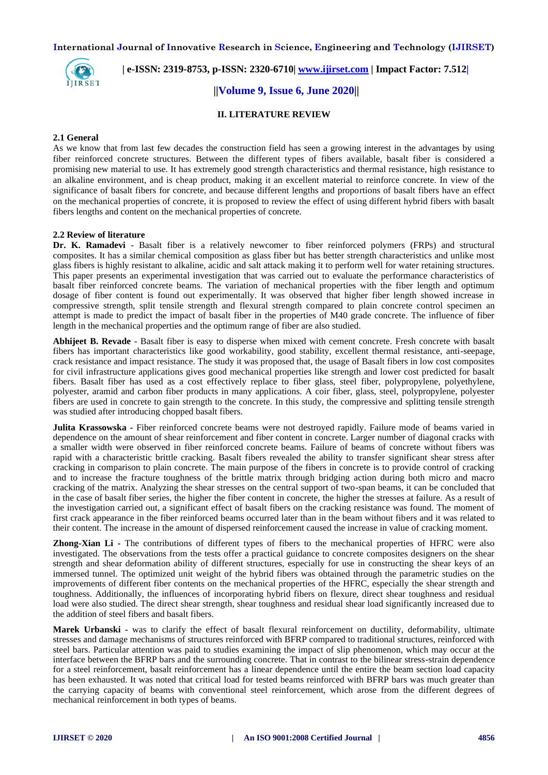

 **| e-ISSN: 2319-8753, p-ISSN: 2320-6710| [www.ijirset.com](http://www.ijirset.com/) | Impact Factor: 7.512|**

 **||Volume 9, Issue 6, June 2020||** 

## **II. LITERATURE REVIEW**

#### **2.1 General**

As we know that from last few decades the construction field has seen a growing interest in the advantages by using fiber reinforced concrete structures. Between the different types of fibers available, basalt fiber is considered a promising new material to use. It has extremely good strength characteristics and thermal resistance, high resistance to an alkaline environment, and is cheap product, making it an excellent material to reinforce concrete. In view of the significance of basalt fibers for concrete, and because different lengths and proportions of basalt fibers have an effect on the mechanical properties of concrete, it is proposed to review the effect of using different hybrid fibers with basalt fibers lengths and content on the mechanical properties of concrete.

#### **2.2 Review of literature**

**Dr. K. Ramadevi** - Basalt fiber is a relatively newcomer to fiber reinforced polymers (FRPs) and structural composites. It has a similar chemical composition as glass fiber but has better strength characteristics and unlike most glass fibers is highly resistant to alkaline, acidic and salt attack making it to perform well for water retaining structures. This paper presents an experimental investigation that was carried out to evaluate the performance characteristics of basalt fiber reinforced concrete beams. The variation of mechanical properties with the fiber length and optimum dosage of fiber content is found out experimentally. It was observed that higher fiber length showed increase in compressive strength, split tensile strength and flexural strength compared to plain concrete control specimen an attempt is made to predict the impact of basalt fiber in the properties of M40 grade concrete. The influence of fiber length in the mechanical properties and the optimum range of fiber are also studied.

**Abhijeet B. Revade** - Basalt fiber is easy to disperse when mixed with cement concrete. Fresh concrete with basalt fibers has important characteristics like good workability, good stability, excellent thermal resistance, anti-seepage, crack resistance and impact resistance. The study it was proposed that, the usage of Basalt fibers in low cost composites for civil infrastructure applications gives good mechanical properties like strength and lower cost predicted for basalt fibers. Basalt fiber has used as a cost effectively replace to fiber glass, steel fiber, polypropylene, polyethylene, polyester, aramid and carbon fiber products in many applications. A coir fiber, glass, steel, polypropylene, polyester fibers are used in concrete to gain strength to the concrete. In this study, the compressive and splitting tensile strength was studied after introducing chopped basalt fibers.

**Julita Krassowska -** Fiber reinforced concrete beams were not destroyed rapidly. Failure mode of beams varied in dependence on the amount of shear reinforcement and fiber content in concrete. Larger number of diagonal cracks with a smaller width were observed in fiber reinforced concrete beams. Failure of beams of concrete without fibers was rapid with a characteristic brittle cracking. Basalt fibers revealed the ability to transfer significant shear stress after cracking in comparison to plain concrete. The main purpose of the fibers in concrete is to provide control of cracking and to increase the fracture toughness of the brittle matrix through bridging action during both micro and macro cracking of the matrix. Analyzing the shear stresses on the central support of two-span beams, it can be concluded that in the case of basalt fiber series, the higher the fiber content in concrete, the higher the stresses at failure. As a result of the investigation carried out, a significant effect of basalt fibers on the cracking resistance was found. The moment of first crack appearance in the fiber reinforced beams occurred later than in the beam without fibers and it was related to their content. The increase in the amount of dispersed reinforcement caused the increase in value of cracking moment.

**Zhong-Xian Li -** The contributions of different types of fibers to the mechanical properties of HFRC were also investigated. The observations from the tests offer a practical guidance to concrete composites designers on the shear strength and shear deformation ability of different structures, especially for use in constructing the shear keys of an immersed tunnel. The optimized unit weight of the hybrid fibers was obtained through the parametric studies on the improvements of different fiber contents on the mechanical properties of the HFRC, especially the shear strength and toughness. Additionally, the influences of incorporating hybrid fibers on flexure, direct shear toughness and residual load were also studied. The direct shear strength, shear toughness and residual shear load significantly increased due to the addition of steel fibers and basalt fibers.

**Marek Urbanski -** was to clarify the effect of basalt flexural reinforcement on ductility, deformability, ultimate stresses and damage mechanisms of structures reinforced with BFRP compared to traditional structures, reinforced with steel bars. Particular attention was paid to studies examining the impact of slip phenomenon, which may occur at the interface between the BFRP bars and the surrounding concrete. That in contrast to the bilinear stress-strain dependence for a steel reinforcement, basalt reinforcement has a linear dependence until the entire the beam section load capacity has been exhausted. It was noted that critical load for tested beams reinforced with BFRP bars was much greater than the carrying capacity of beams with conventional steel reinforcement, which arose from the different degrees of mechanical reinforcement in both types of beams.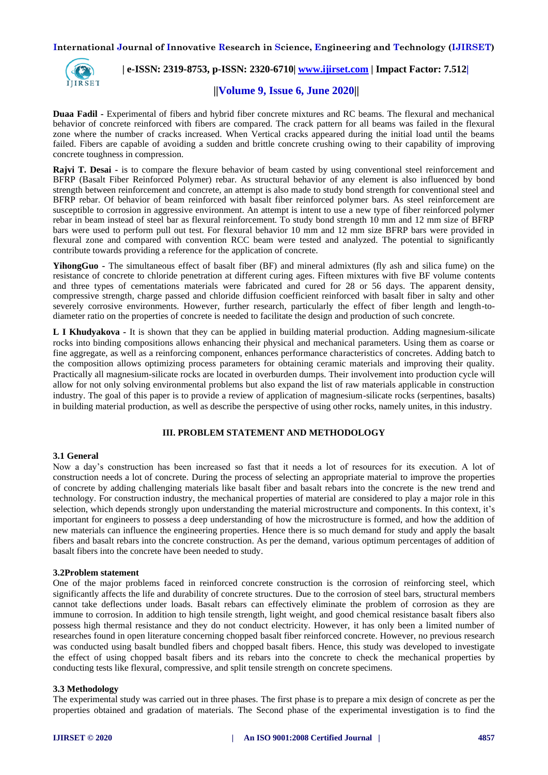

 **| e-ISSN: 2319-8753, p-ISSN: 2320-6710| [www.ijirset.com](http://www.ijirset.com/) | Impact Factor: 7.512|**

## **||Volume 9, Issue 6, June 2020||**

**Duaa Fadil -** Experimental of fibers and hybrid fiber concrete mixtures and RC beams. The flexural and mechanical behavior of concrete reinforced with fibers are compared. The crack pattern for all beams was failed in the flexural zone where the number of cracks increased. When Vertical cracks appeared during the initial load until the beams failed. Fibers are capable of avoiding a sudden and brittle concrete crushing owing to their capability of improving concrete toughness in compression.

**Rajvi T. Desai -** is to compare the flexure behavior of beam casted by using conventional steel reinforcement and BFRP (Basalt Fiber Reinforced Polymer) rebar. As structural behavior of any element is also influenced by bond strength between reinforcement and concrete, an attempt is also made to study bond strength for conventional steel and BFRP rebar. Of behavior of beam reinforced with basalt fiber reinforced polymer bars. As steel reinforcement are susceptible to corrosion in aggressive environment. An attempt is intent to use a new type of fiber reinforced polymer rebar in beam instead of steel bar as flexural reinforcement. To study bond strength 10 mm and 12 mm size of BFRP bars were used to perform pull out test. For flexural behavior 10 mm and 12 mm size BFRP bars were provided in flexural zone and compared with convention RCC beam were tested and analyzed. The potential to significantly contribute towards providing a reference for the application of concrete.

**YihongGuo -** The simultaneous effect of basalt fiber (BF) and mineral admixtures (fly ash and silica fume) on the resistance of concrete to chloride penetration at different curing ages. Fifteen mixtures with five BF volume contents and three types of cementations materials were fabricated and cured for 28 or 56 days. The apparent density, compressive strength, charge passed and chloride diffusion coefficient reinforced with basalt fiber in salty and other severely corrosive environments. However, further research, particularly the effect of fiber length and length-todiameter ratio on the properties of concrete is needed to facilitate the design and production of such concrete.

**L I Khudyakova -** It is shown that they can be applied in building material production. Adding magnesium-silicate rocks into binding compositions allows enhancing their physical and mechanical parameters. Using them as coarse or fine aggregate, as well as a reinforcing component, enhances performance characteristics of concretes. Adding batch to the composition allows optimizing process parameters for obtaining ceramic materials and improving their quality. Practically all magnesium-silicate rocks are located in overburden dumps. Their involvement into production cycle will allow for not only solving environmental problems but also expand the list of raw materials applicable in construction industry. The goal of this paper is to provide a review of application of magnesium-silicate rocks (serpentines, basalts) in building material production, as well as describe the perspective of using other rocks, namely unites, in this industry.

## **III. PROBLEM STATEMENT AND METHODOLOGY**

#### **3.1 General**

Now a day's construction has been increased so fast that it needs a lot of resources for its execution. A lot of construction needs a lot of concrete. During the process of selecting an appropriate material to improve the properties of concrete by adding challenging materials like basalt fiber and basalt rebars into the concrete is the new trend and technology. For construction industry, the mechanical properties of material are considered to play a major role in this selection, which depends strongly upon understanding the material microstructure and components. In this context, it's important for engineers to possess a deep understanding of how the microstructure is formed, and how the addition of new materials can influence the engineering properties. Hence there is so much demand for study and apply the basalt fibers and basalt rebars into the concrete construction. As per the demand, various optimum percentages of addition of basalt fibers into the concrete have been needed to study.

#### **3.2Problem statement**

One of the major problems faced in reinforced concrete construction is the corrosion of reinforcing steel, which significantly affects the life and durability of concrete structures. Due to the corrosion of steel bars, structural members cannot take deflections under loads. Basalt rebars can effectively eliminate the problem of corrosion as they are immune to corrosion. In addition to high tensile strength, light weight, and good chemical resistance basalt fibers also possess high thermal resistance and they do not conduct electricity. However, it has only been a limited number of researches found in open literature concerning chopped basalt fiber reinforced concrete. However, no previous research was conducted using basalt bundled fibers and chopped basalt fibers. Hence, this study was developed to investigate the effect of using chopped basalt fibers and its rebars into the concrete to check the mechanical properties by conducting tests like flexural, compressive, and split tensile strength on concrete specimens.

#### **3.3 Methodology**

The experimental study was carried out in three phases. The first phase is to prepare a mix design of concrete as per the properties obtained and gradation of materials. The Second phase of the experimental investigation is to find the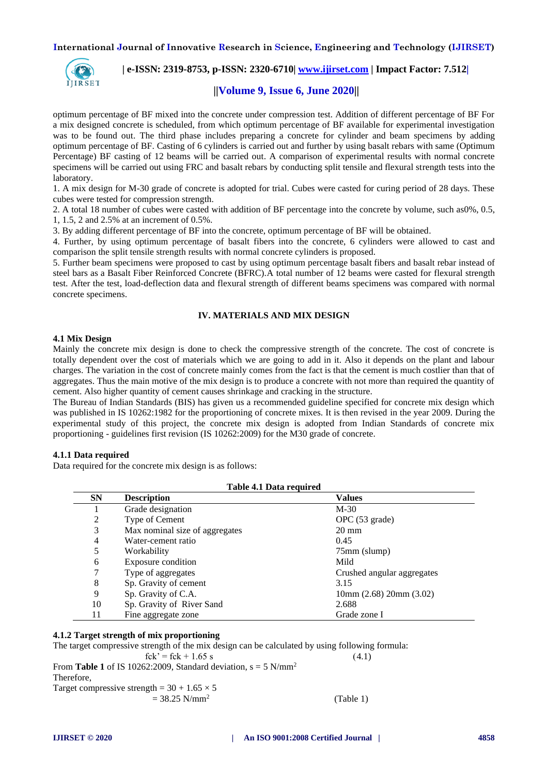

 **| e-ISSN: 2319-8753, p-ISSN: 2320-6710| [www.ijirset.com](http://www.ijirset.com/) | Impact Factor: 7.512|**

# **||Volume 9, Issue 6, June 2020||**

optimum percentage of BF mixed into the concrete under compression test. Addition of different percentage of BF For a mix designed concrete is scheduled, from which optimum percentage of BF available for experimental investigation was to be found out. The third phase includes preparing a concrete for cylinder and beam specimens by adding optimum percentage of BF. Casting of 6 cylinders is carried out and further by using basalt rebars with same (Optimum Percentage) BF casting of 12 beams will be carried out. A comparison of experimental results with normal concrete specimens will be carried out using FRC and basalt rebars by conducting split tensile and flexural strength tests into the laboratory.

1. A mix design for M-30 grade of concrete is adopted for trial. Cubes were casted for curing period of 28 days. These cubes were tested for compression strength.

2. A total 18 number of cubes were casted with addition of BF percentage into the concrete by volume, such as0%, 0.5, 1, 1.5, 2 and 2.5% at an increment of 0.5%.

3. By adding different percentage of BF into the concrete, optimum percentage of BF will be obtained.

4. Further, by using optimum percentage of basalt fibers into the concrete, 6 cylinders were allowed to cast and comparison the split tensile strength results with normal concrete cylinders is proposed.

5. Further beam specimens were proposed to cast by using optimum percentage basalt fibers and basalt rebar instead of steel bars as a Basalt Fiber Reinforced Concrete (BFRC).A total number of 12 beams were casted for flexural strength test. After the test, load-deflection data and flexural strength of different beams specimens was compared with normal concrete specimens.

## **IV. MATERIALS AND MIX DESIGN**

#### **4.1 Mix Design**

Mainly the concrete mix design is done to check the compressive strength of the concrete. The cost of concrete is totally dependent over the cost of materials which we are going to add in it. Also it depends on the plant and labour charges. The variation in the cost of concrete mainly comes from the fact is that the cement is much costlier than that of aggregates. Thus the main motive of the mix design is to produce a concrete with not more than required the quantity of cement. Also higher quantity of cement causes shrinkage and cracking in the structure.

The Bureau of Indian Standards (BIS) has given us a recommended guideline specified for concrete mix design which was published in IS 10262:1982 for the proportioning of concrete mixes. It is then revised in the year 2009. During the experimental study of this project, the concrete mix design is adopted from Indian Standards of concrete mix proportioning - guidelines first revision (IS 10262:2009) for the M30 grade of concrete.

#### **4.1.1 Data required**

Data required for the concrete mix design is as follows:

| Table 4.1 Data required |                                |                             |  |  |  |
|-------------------------|--------------------------------|-----------------------------|--|--|--|
| <b>SN</b>               | <b>Description</b>             | <b>Values</b>               |  |  |  |
|                         | Grade designation              | $M-30$                      |  |  |  |
| 2                       | Type of Cement                 | OPC (53 grade)              |  |  |  |
| 3                       | Max nominal size of aggregates | $20 \text{ mm}$             |  |  |  |
| 4                       | Water-cement ratio             | 0.45                        |  |  |  |
| 5                       | Workability                    | 75mm (slump)                |  |  |  |
| 6                       | Exposure condition             | Mild                        |  |  |  |
| 7                       | Type of aggregates             | Crushed angular aggregates  |  |  |  |
| 8                       | Sp. Gravity of cement          | 3.15                        |  |  |  |
| 9                       | Sp. Gravity of C.A.            | $10mm$ (2.68) $20mm$ (3.02) |  |  |  |
| 10                      | Sp. Gravity of River Sand      | 2.688                       |  |  |  |
| 11                      | Fine aggregate zone            | Grade zone I                |  |  |  |

## **4.1.2 Target strength of mix proportioning**

The target compressive strength of the mix design can be calculated by using following formula:  $fck' = fck + 1.65 s$  (4.1) From **Table 1** of IS 10262:2009, Standard deviation,  $s = 5$  N/mm<sup>2</sup> Therefore, Target compressive strength =  $30 + 1.65 \times 5$  $= 38.25$  N/mm<sup>2</sup> (Table 1)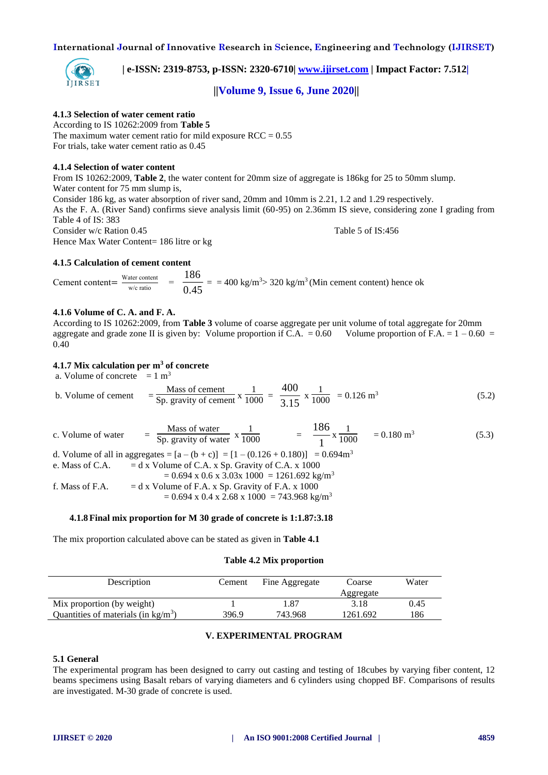

 **| e-ISSN: 2319-8753, p-ISSN: 2320-6710| [www.ijirset.com](http://www.ijirset.com/) | Impact Factor: 7.512|**

## **||Volume 9, Issue 6, June 2020||**

## **4.1.3 Selection of water cement ratio**

According to IS 10262:2009 from **Table 5** The maximum water cement ratio for mild exposure  $RCC = 0.55$ For trials, take water cement ratio as 0.45

#### **4.1.4 Selection of water content**

From IS 10262:2009, **Table 2**, the water content for 20mm size of aggregate is 186kg for 25 to 50mm slump. Water content for 75 mm slump is, Consider 186 kg, as water absorption of river sand, 20mm and 10mm is 2.21, 1.2 and 1.29 respectively. As the F. A. (River Sand) confirms sieve analysis limit (60-95) on 2.36mm IS sieve, considering zone I grading from Table 4 of IS: 383 Consider w/c Ration 0.45 Table 5 of IS:456 Hence Max Water Content= 186 litre or kg

#### **4.1.5 Calculation of cement content**

Cement content $=$  Water content  $\frac{a}{w/c \text{ ratio}}$  =  $\frac{1}{0.45}$  $\frac{186}{15}$  = = 400 kg/m<sup>3</sup>> 320 kg/m<sup>3</sup> (Min cement content) hence ok

#### **4.1.6 Volume of C. A. and F. A.**

According to IS 10262:2009, from **Table 3** volume of coarse aggregate per unit volume of total aggregate for 20mm aggregate and grade zone II is given by: Volume proportion if C.A. =  $0.60$  Volume proportion of F.A. =  $1 - 0.60$  = 0.40

#### **4.1.7 Mix calculation per m<sup>3</sup> of concrete**

a. Volume of concrete  $= 1 \text{ m}^3$ 

b. Volume of cement 
$$
= \frac{\text{Mass of cement}}{\text{Sp. gravity of cement}} \times \frac{1}{1000} = \frac{400}{3.15} \times \frac{1}{1000} = 0.126 \text{ m}^3
$$
 (5.2)

c. Volume of water Mass of water  $x \frac{1}{1000} = \frac{18}{1}$  $\frac{186}{1}$  x  $\frac{1}{1000}$  = 0.180 m<sup>3</sup> (5.3)

d. Volume of all in aggregates =  $[a - (b + c)] = [1 - (0.126 + 0.180)] = 0.694 \text{m}^3$ 

e. Mass of C.A. 
$$
= d x
$$
 Volume of C.A. x Sp. Gravity of C.A. x 1000

 $= 0.694$  x 0.6 x 3.03x 1000 = 1261.692 kg/m<sup>3</sup> f. Mass of F.A.  $= d x$  Volume of F.A. x Sp. Gravity of F.A. x 1000

 $= 0.694$  x 0.4 x 2.68 x 1000 = 743.968 kg/m<sup>3</sup>

#### **4.1.8 Final mix proportion for M 30 grade of concrete is 1:1.87:3.18**

The mix proportion calculated above can be stated as given in **Table 4.1**

#### **Table 4.2 Mix proportion**

| Description                                   | Cement | Fine Aggregate | Coarse<br>Aggregate | Water |
|-----------------------------------------------|--------|----------------|---------------------|-------|
| Mix proportion (by weight)                    |        | l.87           | 3.18                | 0.45  |
| Quantities of materials (in $\text{kg/m}^3$ ) | 396.9  | 743.968        | 1261.692            | 186   |

#### **V. EXPERIMENTAL PROGRAM**

#### **5.1 General**

The experimental program has been designed to carry out casting and testing of 18cubes by varying fiber content, 12 beams specimens using Basalt rebars of varying diameters and 6 cylinders using chopped BF. Comparisons of results are investigated. M-30 grade of concrete is used.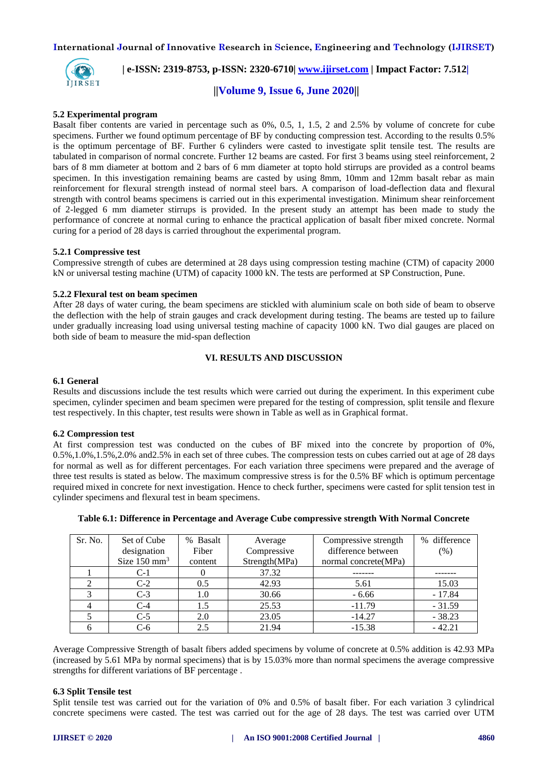

 **| e-ISSN: 2319-8753, p-ISSN: 2320-6710| [www.ijirset.com](http://www.ijirset.com/) | Impact Factor: 7.512|**

 **||Volume 9, Issue 6, June 2020||** 

#### **5.2 Experimental program**

Basalt fiber contents are varied in percentage such as 0%, 0.5, 1, 1.5, 2 and 2.5% by volume of concrete for cube specimens. Further we found optimum percentage of BF by conducting compression test. According to the results 0.5% is the optimum percentage of BF. Further 6 cylinders were casted to investigate split tensile test. The results are tabulated in comparison of normal concrete. Further 12 beams are casted. For first 3 beams using steel reinforcement, 2 bars of 8 mm diameter at bottom and 2 bars of 6 mm diameter at topto hold stirrups are provided as a control beams specimen. In this investigation remaining beams are casted by using 8mm, 10mm and 12mm basalt rebar as main reinforcement for flexural strength instead of normal steel bars. A comparison of load-deflection data and flexural strength with control beams specimens is carried out in this experimental investigation. Minimum shear reinforcement of 2-legged 6 mm diameter stirrups is provided. In the present study an attempt has been made to study the performance of concrete at normal curing to enhance the practical application of basalt fiber mixed concrete. Normal curing for a period of 28 days is carried throughout the experimental program.

#### **5.2.1 Compressive test**

Compressive strength of cubes are determined at 28 days using compression testing machine (CTM) of capacity 2000 kN or universal testing machine (UTM) of capacity 1000 kN. The tests are performed at SP Construction, Pune.

#### **5.2.2 Flexural test on beam specimen**

After 28 days of water curing, the beam specimens are stickled with aluminium scale on both side of beam to observe the deflection with the help of strain gauges and crack development during testing. The beams are tested up to failure under gradually increasing load using universal testing machine of capacity 1000 kN. Two dial gauges are placed on both side of beam to measure the mid-span deflection

## **VI. RESULTS AND DISCUSSION**

#### **6.1 General**

Results and discussions include the test results which were carried out during the experiment. In this experiment cube specimen, cylinder specimen and beam specimen were prepared for the testing of compression, split tensile and flexure test respectively. In this chapter, test results were shown in Table as well as in Graphical format.

#### **6.2 Compression test**

At first compression test was conducted on the cubes of BF mixed into the concrete by proportion of 0%, 0.5%,1.0%,1.5%,2.0% and2.5% in each set of three cubes. The compression tests on cubes carried out at age of 28 days for normal as well as for different percentages. For each variation three specimens were prepared and the average of three test results is stated as below. The maximum compressive stress is for the 0.5% BF which is optimum percentage required mixed in concrete for next investigation. Hence to check further, specimens were casted for split tension test in cylinder specimens and flexural test in beam specimens.

| Sr. No. | Set of Cube<br>designation | % Basalt<br>Fiber | Average<br>Compressive | Compressive strength<br>difference between | % difference<br>(% ) |
|---------|----------------------------|-------------------|------------------------|--------------------------------------------|----------------------|
|         | Size $150$ mm <sup>3</sup> | content           | Strength(MPa)          | normal concrete (MPa)                      |                      |
|         | $C-1$                      |                   | 37.32                  |                                            |                      |
|         | $C-2$                      | 0.5               | 42.93                  | 5.61                                       | 15.03                |
|         | $C-3$                      | 1.0               | 30.66                  | $-6.66$                                    | $-17.84$             |
|         | $C-4$                      | 1.5               | 25.53                  | $-11.79$                                   | $-31.59$             |
|         | $C-5$                      | 2.0               | 23.05                  | $-14.27$                                   | $-38.23$             |
|         | C-6                        | 2.5               | 21.94                  | $-15.38$                                   | $-42.21$             |

#### **Table 6.1: Difference in Percentage and Average Cube compressive strength With Normal Concrete**

Average Compressive Strength of basalt fibers added specimens by volume of concrete at 0.5% addition is 42.93 MPa (increased by 5.61 MPa by normal specimens) that is by 15.03% more than normal specimens the average compressive strengths for different variations of BF percentage .

#### **6.3 Split Tensile test**

Split tensile test was carried out for the variation of 0% and 0.5% of basalt fiber. For each variation 3 cylindrical concrete specimens were casted. The test was carried out for the age of 28 days. The test was carried over UTM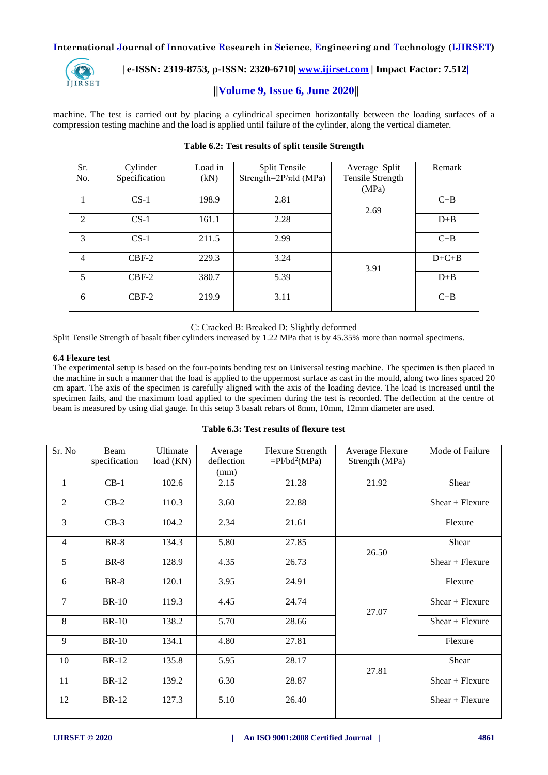

# **| e-ISSN: 2319-8753, p-ISSN: 2320-6710| [www.ijirset.com](http://www.ijirset.com/) | Impact Factor: 7.512|**

# **||Volume 9, Issue 6, June 2020||**

machine. The test is carried out by placing a cylindrical specimen horizontally between the loading surfaces of a compression testing machine and the load is applied until failure of the cylinder, along the vertical diameter.

| Sr.            | Cylinder      | Load in | Split Tensile               | Average Split    | Remark  |
|----------------|---------------|---------|-----------------------------|------------------|---------|
| No.            | Specification | (kN)    | Strength= $2P/\pi$ ld (MPa) | Tensile Strength |         |
|                |               |         |                             | (MPa)            |         |
| 1              | $CS-1$        | 198.9   | 2.81                        |                  | $C+B$   |
|                |               |         |                             | 2.69             |         |
| 2              | $CS-1$        | 161.1   | 2.28                        |                  | $D + B$ |
|                |               |         |                             |                  |         |
| 3              | $CS-1$        | 211.5   | 2.99                        |                  | $C+B$   |
|                |               |         |                             |                  |         |
| $\overline{4}$ | $CBF-2$       | 229.3   | 3.24                        |                  | $D+C+B$ |
|                |               |         |                             | 3.91             |         |
| 5              | $CBF-2$       | 380.7   | 5.39                        |                  | $D + B$ |
|                |               |         |                             |                  |         |
| 6              | $CBF-2$       | 219.9   | 3.11                        |                  | $C + B$ |
|                |               |         |                             |                  |         |

# **Table 6.2: Test results of split tensile Strength**

C: Cracked B: Breaked D: Slightly deformed

Split Tensile Strength of basalt fiber cylinders increased by 1.22 MPa that is by 45.35% more than normal specimens.

#### **6.4 Flexure test**

The experimental setup is based on the four-points bending test on Universal testing machine. The specimen is then placed in the machine in such a manner that the load is applied to the uppermost surface as cast in the mould, along two lines spaced 20 cm apart. The axis of the specimen is carefully aligned with the axis of the loading device. The load is increased until the specimen fails, and the maximum load applied to the specimen during the test is recorded. The deflection at the centre of beam is measured by using dial gauge. In this setup 3 basalt rebars of 8mm, 10mm, 12mm diameter are used.

| Sr. No         | Beam          | Ultimate  | Average    | <b>Flexure Strength</b>      | Average Flexure | Mode of Failure   |
|----------------|---------------|-----------|------------|------------------------------|-----------------|-------------------|
|                | specification | load (KN) | deflection | $=$ Pl/bd <sup>2</sup> (MPa) | Strength (MPa)  |                   |
|                |               |           | (mm)       |                              |                 |                   |
| 1              | $CB-1$        | 102.6     | 2.15       | 21.28                        | 21.92           | Shear             |
| 2              | $CB-2$        | 110.3     | 3.60       | 22.88                        |                 | $Shear + Flexure$ |
| 3              | $CB-3$        | 104.2     | 2.34       | 21.61                        |                 | Flexure           |
| $\overline{4}$ | $BR-8$        | 134.3     | 5.80       | 27.85                        | 26.50           | Shear             |
| 5              | $BR-8$        | 128.9     | 4.35       | 26.73                        |                 | $Shear + Flexure$ |
| 6              | $BR-8$        | 120.1     | 3.95       | 24.91                        |                 | Flexure           |
| $\tau$         | <b>BR-10</b>  | 119.3     | 4.45       | 24.74                        | 27.07           | $Shear + Flexure$ |
| 8              | <b>BR-10</b>  | 138.2     | 5.70       | 28.66                        |                 | $Shear + Flexure$ |
| 9              | <b>BR-10</b>  | 134.1     | 4.80       | 27.81                        |                 | Flexure           |
| 10             | <b>BR-12</b>  | 135.8     | 5.95       | 28.17                        | 27.81           | Shear             |

11 BR-12 139.2 6.30 28.87 Shear + Flexure

12 BR-12 127.3 5.10 26.40 Shear + Flexure

**Table 6.3: Test results of flexure test**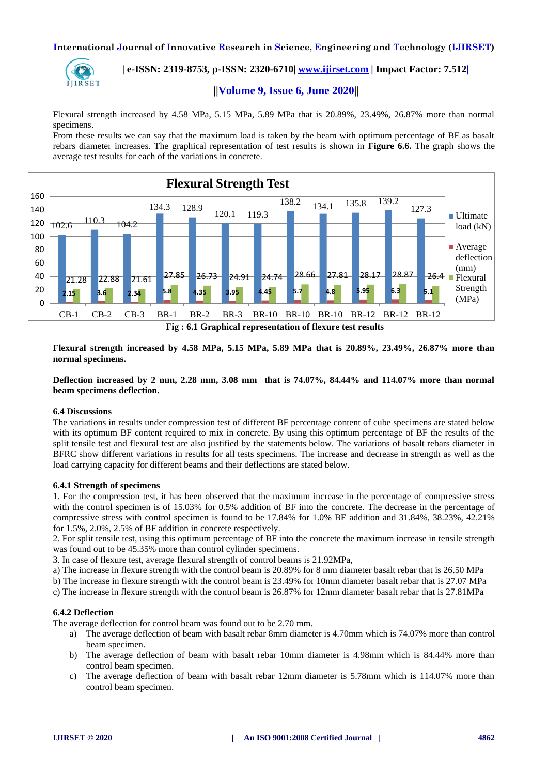

# **| e-ISSN: 2319-8753, p-ISSN: 2320-6710| [www.ijirset.com](http://www.ijirset.com/) | Impact Factor: 7.512|**

## **||Volume 9, Issue 6, June 2020||**

Flexural strength increased by 4.58 MPa, 5.15 MPa, 5.89 MPa that is 20.89%, 23.49%, 26.87% more than normal specimens.

From these results we can say that the maximum load is taken by the beam with optimum percentage of BF as basalt rebars diameter increases. The graphical representation of test results is shown in **Figure 6.6.** The graph shows the average test results for each of the variations in concrete.



**Fig : 6.1 Graphical representation of flexure test results**

**Flexural strength increased by 4.58 MPa, 5.15 MPa, 5.89 MPa that is 20.89%, 23.49%, 26.87% more than normal specimens.**

**Deflection increased by 2 mm, 2.28 mm, 3.08 mm that is 74.07%, 84.44% and 114.07% more than normal beam specimens deflection.**

## **6.4 Discussions**

The variations in results under compression test of different BF percentage content of cube specimens are stated below with its optimum BF content required to mix in concrete. By using this optimum percentage of BF the results of the split tensile test and flexural test are also justified by the statements below. The variations of basalt rebars diameter in BFRC show different variations in results for all tests specimens. The increase and decrease in strength as well as the load carrying capacity for different beams and their deflections are stated below.

#### **6.4.1 Strength of specimens**

1. For the compression test, it has been observed that the maximum increase in the percentage of compressive stress with the control specimen is of 15.03% for 0.5% addition of BF into the concrete. The decrease in the percentage of compressive stress with control specimen is found to be 17.84% for 1.0% BF addition and 31.84%, 38.23%, 42.21% for 1.5%, 2.0%, 2.5% of BF addition in concrete respectively.

2. For split tensile test, using this optimum percentage of BF into the concrete the maximum increase in tensile strength was found out to be 45.35% more than control cylinder specimens.

3. In case of flexure test, average flexural strength of control beams is 21.92MPa,

a) The increase in flexure strength with the control beam is 20.89% for 8 mm diameter basalt rebar that is 26.50 MPa

b) The increase in flexure strength with the control beam is 23.49% for 10mm diameter basalt rebar that is 27.07 MPa

c) The increase in flexure strength with the control beam is 26.87% for 12mm diameter basalt rebar that is 27.81MPa

#### **6.4.2 Deflection**

The average deflection for control beam was found out to be 2.70 mm.

- a) The average deflection of beam with basalt rebar 8mm diameter is 4.70mm which is 74.07% more than control beam specimen.
- b) The average deflection of beam with basalt rebar 10mm diameter is 4.98mm which is 84.44% more than control beam specimen.
- c) The average deflection of beam with basalt rebar 12mm diameter is 5.78mm which is 114.07% more than control beam specimen.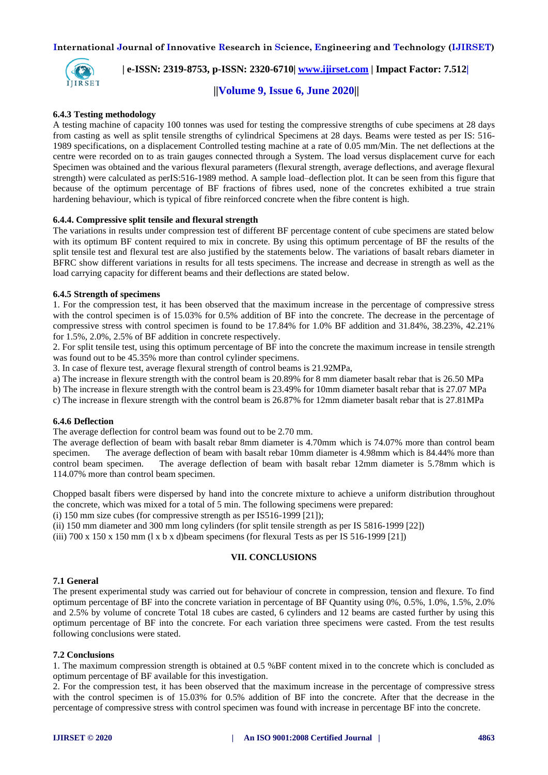

## **| e-ISSN: 2319-8753, p-ISSN: 2320-6710| [www.ijirset.com](http://www.ijirset.com/) | Impact Factor: 7.512|**

 **||Volume 9, Issue 6, June 2020||** 

#### **6.4.3 Testing methodology**

A testing machine of capacity 100 tonnes was used for testing the compressive strengths of cube specimens at 28 days from casting as well as split tensile strengths of cylindrical Specimens at 28 days. Beams were tested as per IS: 516- 1989 specifications, on a displacement Controlled testing machine at a rate of 0.05 mm/Min. The net deflections at the centre were recorded on to as train gauges connected through a System. The load versus displacement curve for each Specimen was obtained and the various flexural parameters (flexural strength, average deflections, and average flexural strength) were calculated as perIS:516-1989 method. A sample load–deflection plot. It can be seen from this figure that because of the optimum percentage of BF fractions of fibres used, none of the concretes exhibited a true strain hardening behaviour, which is typical of fibre reinforced concrete when the fibre content is high.

#### **6.4.4. Compressive split tensile and flexural strength**

The variations in results under compression test of different BF percentage content of cube specimens are stated below with its optimum BF content required to mix in concrete. By using this optimum percentage of BF the results of the split tensile test and flexural test are also justified by the statements below. The variations of basalt rebars diameter in BFRC show different variations in results for all tests specimens. The increase and decrease in strength as well as the load carrying capacity for different beams and their deflections are stated below.

#### **6.4.5 Strength of specimens**

1. For the compression test, it has been observed that the maximum increase in the percentage of compressive stress with the control specimen is of 15.03% for 0.5% addition of BF into the concrete. The decrease in the percentage of compressive stress with control specimen is found to be 17.84% for 1.0% BF addition and 31.84%, 38.23%, 42.21% for 1.5%, 2.0%, 2.5% of BF addition in concrete respectively.

2. For split tensile test, using this optimum percentage of BF into the concrete the maximum increase in tensile strength was found out to be 45.35% more than control cylinder specimens.

3. In case of flexure test, average flexural strength of control beams is 21.92MPa,

a) The increase in flexure strength with the control beam is 20.89% for 8 mm diameter basalt rebar that is 26.50 MPa

b) The increase in flexure strength with the control beam is 23.49% for 10mm diameter basalt rebar that is 27.07 MPa

c) The increase in flexure strength with the control beam is 26.87% for 12mm diameter basalt rebar that is 27.81MPa

## **6.4.6 Deflection**

The average deflection for control beam was found out to be 2.70 mm.

The average deflection of beam with basalt rebar 8mm diameter is 4.70mm which is 74.07% more than control beam specimen. The average deflection of beam with basalt rebar 10mm diameter is 4.98mm which is 84.44% more than control beam specimen. The average deflection of beam with basalt rebar 12mm diameter is 5.78mm which is 114.07% more than control beam specimen.

Chopped basalt fibers were dispersed by hand into the concrete mixture to achieve a uniform distribution throughout the concrete, which was mixed for a total of 5 min. The following specimens were prepared:

(i) 150 mm size cubes (for compressive strength as per IS516-1999 [21]);

(ii) 150 mm diameter and 300 mm long cylinders (for split tensile strength as per IS 5816-1999 [22])

(iii)  $700 \times 150 \times 150$  mm (l x b x d)beam specimens (for flexural Tests as per IS  $516-1999$  [21])

#### **VII. CONCLUSIONS**

#### **7.1 General**

The present experimental study was carried out for behaviour of concrete in compression, tension and flexure. To find optimum percentage of BF into the concrete variation in percentage of BF Quantity using 0%, 0.5%, 1.0%, 1.5%, 2.0% and 2.5% by volume of concrete Total 18 cubes are casted, 6 cylinders and 12 beams are casted further by using this optimum percentage of BF into the concrete. For each variation three specimens were casted. From the test results following conclusions were stated.

#### **7.2 Conclusions**

1. The maximum compression strength is obtained at 0.5 %BF content mixed in to the concrete which is concluded as optimum percentage of BF available for this investigation.

2. For the compression test, it has been observed that the maximum increase in the percentage of compressive stress with the control specimen is of 15.03% for 0.5% addition of BF into the concrete. After that the decrease in the percentage of compressive stress with control specimen was found with increase in percentage BF into the concrete.